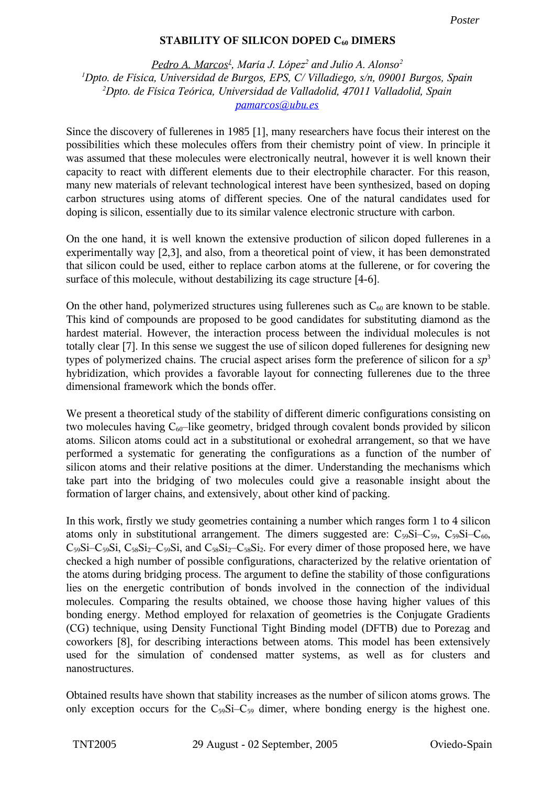## **STABILITY OF SILICON DOPED C<sup>60</sup> DIMERS**

*Pedro A. Marcos 1 , María J. López <sup>2</sup> and Julio A. Alonso 2 <sup>1</sup>Dpto. de Física, Universidad de Burgos, EPS, C/ Villadiego, s/n, 09001 Burgos, Spain <sup>2</sup>Dpto. de Física Teórica, Universidad de Valladolid, 47011 Valladolid, Spain pamarcos@ubu.es*

Since the discovery of fullerenes in 1985 [1], many researchers have focus their interest on the possibilities which these molecules offers from their chemistry point of view. In principle it was assumed that these molecules were electronically neutral, however it is well known their capacity to react with different elements due to their electrophile character. For this reason, many new materials of relevant technological interest have been synthesized, based on doping carbon structures using atoms of different species. One of the natural candidates used for doping is silicon, essentially due to its similar valence electronic structure with carbon.

On the one hand, it is well known the extensive production of silicon doped fullerenes in a experimentally way [2,3], and also, from a theoretical point of view, it has been demonstrated that silicon could be used, either to replace carbon atoms at the fullerene, or for covering the surface of this molecule, without destabilizing its cage structure [4-6].

On the other hand, polymerized structures using fullerenes such as  $C_{60}$  are known to be stable. This kind of compounds are proposed to be good candidates for substituting diamond as the hardest material. However, the interaction process between the individual molecules is not totally clear [7]. In this sense we suggest the use of silicon doped fullerenes for designing new types of polymerized chains. The crucial aspect arises form the preference of silicon for a *sp* 3 hybridization, which provides a favorable layout for connecting fullerenes due to the three dimensional framework which the bonds offer.

We present a theoretical study of the stability of different dimeric configurations consisting on two molecules having  $C_{60}$ –like geometry, bridged through covalent bonds provided by silicon atoms. Silicon atoms could act in a substitutional or exohedral arrangement, so that we have performed a systematic for generating the configurations as a function of the number of silicon atoms and their relative positions at the dimer. Understanding the mechanisms which take part into the bridging of two molecules could give a reasonable insight about the formation of larger chains, and extensively, about other kind of packing.

In this work, firstly we study geometries containing a number which ranges form 1 to 4 silicon atoms only in substitutional arrangement. The dimers suggested are:  $C_{59}Si-C_{59}Si-C_{60}$ ,  $C_{59}Si-C_{59}Si$ ,  $C_{58}Si_2-C_{59}Si$ , and  $C_{58}Si_2-C_{58}Si_2$ . For every dimer of those proposed here, we have checked a high number of possible configurations, characterized by the relative orientation of the atoms during bridging process. The argument to define the stability of those configurations lies on the energetic contribution of bonds involved in the connection of the individual molecules. Comparing the results obtained, we choose those having higher values of this bonding energy. Method employed for relaxation of geometries is the Conjugate Gradients (CG) technique, using Density Functional Tight Binding model (DFTB) due to Porezag and coworkers [8], for describing interactions between atoms. This model has been extensively used for the simulation of condensed matter systems, as well as for clusters and nanostructures.

Obtained results have shown that stability increases as the number of silicon atoms grows. The only exception occurs for the  $C_{59}Si-C_{59}$  dimer, where bonding energy is the highest one.